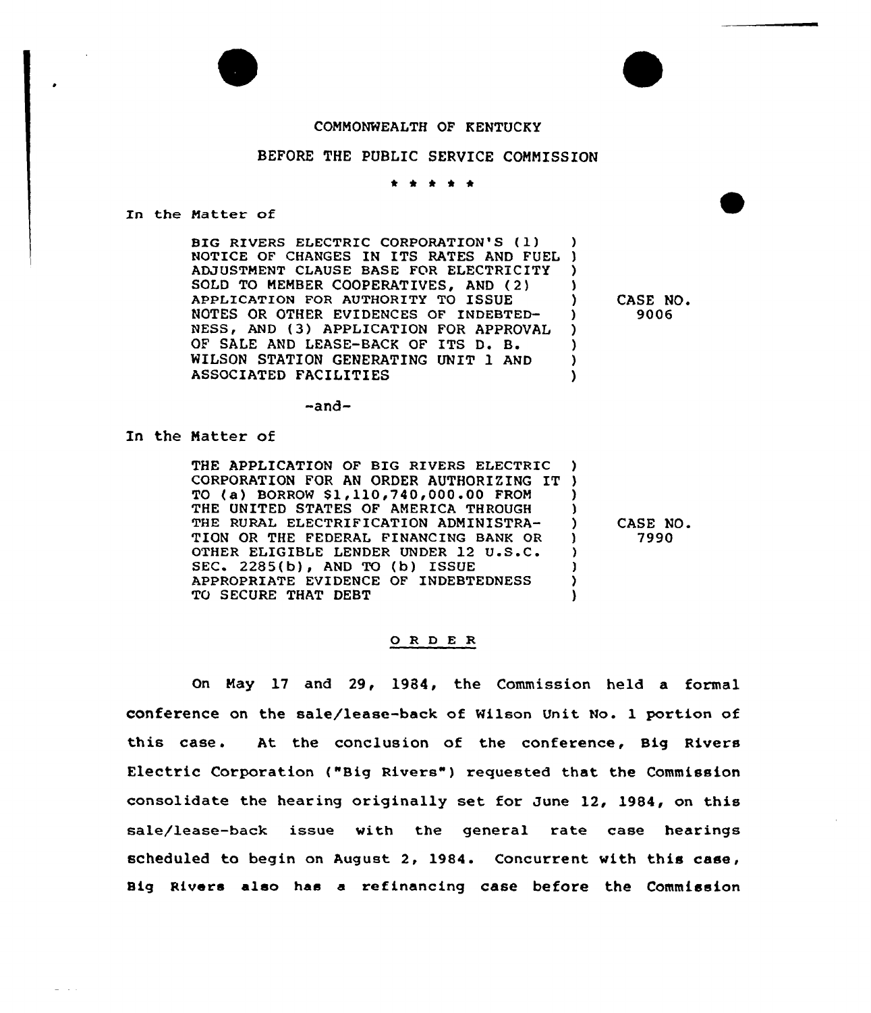## COMMONWEALTH OF KENTUCKY

## BEFORE THE PUBLIC SERVICE COMMISSION

\* \* \* \* \*

In the Matter of

BIG RIVERS ELECTRIC CORPORATION'S (I) BIG RIVERS ELECTRIC CORPORATION'S (1) )<br>NOTICE OF CHANGES IN ITS RATES AND FUEL ) ADJUSTMENT CLAUSE BASE FOR ELECTRICITY SOLD TO MEMBER COOPERATIVES, AND (2) APPLICATION FOR AUTHORITY TO ISSUE NOTES OR OTHER EVIDENCES OF INDEBTED-NESS, AND (3) APPLICATION FOR APPROVAL QF SALE AND LEASE-BACK OF ITS D. B. NILSON STATION GENERATING UNIT 1 AND ASSOCIATED FACILITIES ) ) ) ) ) ) )

) CASE NO. ) 9006

 $-and-$ 

In the Matter of

 $\omega = 1/2$ 

THE APPLICATION OF BIG RIVERS ELECTRIC THE APPLICATION OF BIG RIVERS ELECTRIC )<br>CORPORATION FOR AN ORDER AUTHORIZING IT ) TO (a) BORROW \$1,110,740,000.00 FROM THE UNITED STATES OF AMERICA THROUGH THE RURAL ELECTRIFICATION ADMINISTRA-TION OR THE FEDERAL FINANCING BANK QR OTHER ELIGIBLE LENDER UNDER 12 U.S.C. SEC. 2285(b), AND TO (b) ISSUE APPROPRIATE EVIDENCE OF INDEBTEDNESS TO SECURE THAT DEBT ) ) ) ) ) ) )

) CASE NO. ) 7990

## 0 <sup>R</sup> <sup>D</sup> E R

On May 17 and 29, 1984, the Commission held a formal conference on the sale/lease-back of Wilson Unit No. 1 portion of this case. At the conclusion of the conference, Big Rivers Electric Corporation ("Big Rivers") requested that the Commission consolidate the hearing originally set for June 12, 1984, on this sale/lease-back issue vith the general rate case hearings scheduled to begin on August 2, 1984. Concurrent with this case, Big Rivers also has a refinancing case before the Commission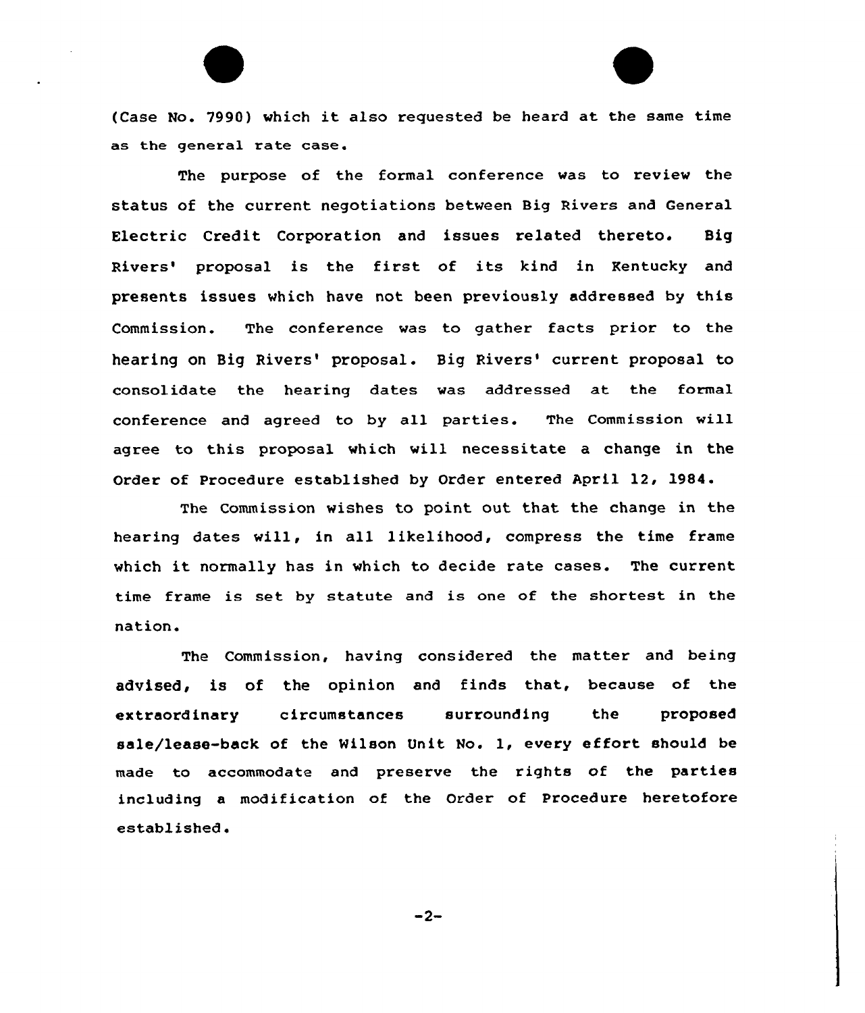(Case No. 7990) which it also requested be heard at the same time as the general rate case.

The purpose of the formal conference was to review the status of the current negotiations between Big Rivers and General Electric Credit Corporation and issues related thereto. Big Rivers' proposal is the first of its kind in Kentucky and presents issues which have not been previously addressed by this Commission. The conference was to gather facts prior to the hearing on Big Rivers' proposal. Big Rivers' current proposal to consolidate the hearing dates was addressed at the formal conference and agreed to by all parties. The Commission will agree to this proposal which wi11 necessitate a change in the Order of Procedure established by Order entered April 12, 1984.

The Commission wishes to point out that the change in the hearing dates will, in all likelihood, compress the time frame which it normally has in which to decide rate cases. The current time frame is set by statute and is one of the shortest in the nation.

The Commission, having considered the matter and being advised, is of the opinion and finds that, because of the extraordinary circumstances surrounding the proposed sale/lease-back of the Wilson Unit No. 1, every effort should be made to accommodate and preserve the rights of the parties including a modification of the Order of Procedure heretofore established.

 $-2-$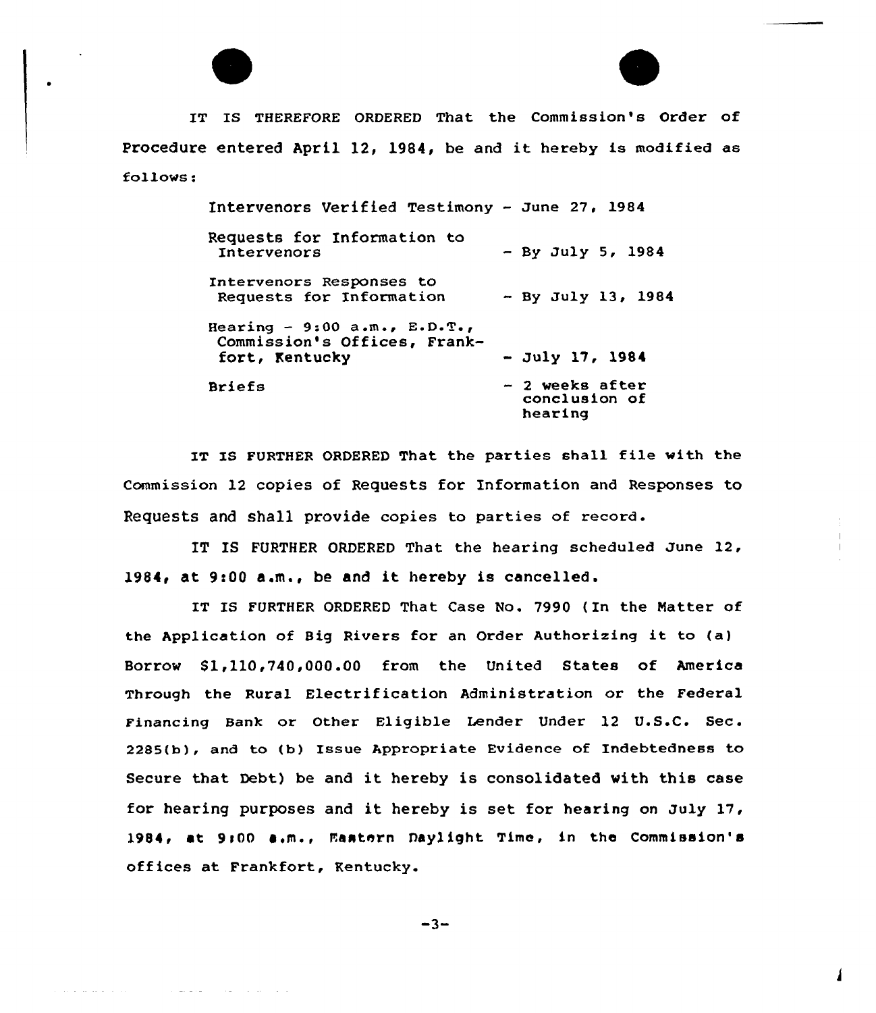

المداني الأميلي الأميرية

المتعادل والمتعادل والمتعاط والمتاري

IT IS THEREFORE ORDERED That the Commission's Order of Procedure entered April 12, 1984, be and it hereby is modified as follows:

> Intervenors Verified Testimony — June 27, 1984 Requests for Information to Intervenors Intervenors Responses to Requests for Information Hearing - 9:00  $a.m., E.D.T.,$ Commission's Offices, Frankfort, Kentucky Briefs By July 5, 1984 By July 13, 1984 - July 17, <sup>1981</sup> <sup>2</sup> weeks af ter conclusion of hearing

IT IS FURTHER ORDERED That the parties shall file with the Commission 12 copies of Requests for Information and Responses to Requests and shall provide copies to parties of record.

IT IS FURTHER ORDERED That the hearing scheduled June 12, 1984, at 9:00 a.m., be and it hereby is cancelled.

IT IS FURTHER ORDERED That Case No. 7990 (In the Natter of the Application of Big Rivers for an Order Authorizing it to (a) Borrow \$1,110,740,000.00 from the United States of America Through the Rural Electrification Administration or the Federal Financing Bank or Other Eligible Lender Under 12 U.S.C. Sec. 2285(b), and to (b) Issue Appropriate Evidence of Indebtedness to Secure that Debt) be and it hereby is consolidated with this case for hearing purposes and it hereby is set for hearing on July 17, 1984, at 9:00 a.m., Mastern Daylight Time, in the Commission's offices at Frankfort, Kentucky.